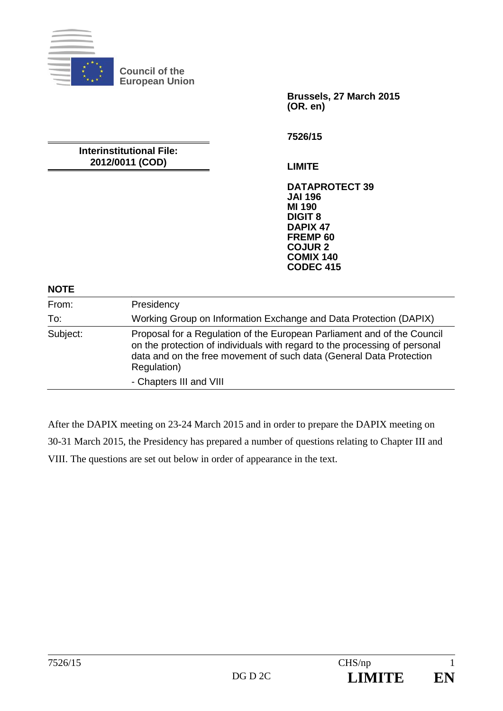

**Council of the European Union** 

**Interinstitutional File: 2012/0011 (COD)** 

**Brussels, 27 March 2015 (OR. en)** 

**7526/15** 

**LIMITE** 

**DATAPROTECT 39 JAI 196 MI 190 DIGIT 8 DAPIX 47 FREMP 60 COJUR 2 COMIX 140 CODEC 415**

# **NOTE**

| 11 J J L |                                                                                                                                                                                                                                             |
|----------|---------------------------------------------------------------------------------------------------------------------------------------------------------------------------------------------------------------------------------------------|
| From:    | Presidency                                                                                                                                                                                                                                  |
| To:      | Working Group on Information Exchange and Data Protection (DAPIX)                                                                                                                                                                           |
| Subject: | Proposal for a Regulation of the European Parliament and of the Council<br>on the protection of individuals with regard to the processing of personal<br>data and on the free movement of such data (General Data Protection<br>Regulation) |
|          | - Chapters III and VIII                                                                                                                                                                                                                     |

After the DAPIX meeting on 23-24 March 2015 and in order to prepare the DAPIX meeting on 30-31 March 2015, the Presidency has prepared a number of questions relating to Chapter III and VIII. The questions are set out below in order of appearance in the text.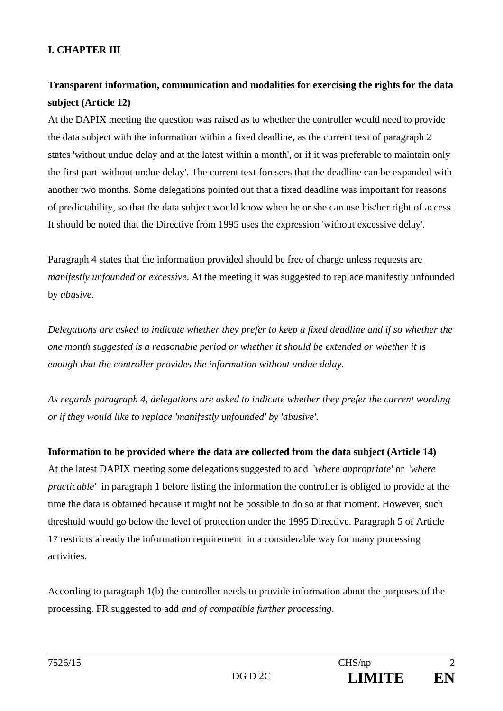### **I. CHAPTER III**

# **Transparent information, communication and modalities for exercising the rights for the data subject (Article 12)**

At the DAPIX meeting the question was raised as to whether the controller would need to provide the data subject with the information within a fixed deadline, as the current text of paragraph 2 states 'without undue delay and at the latest within a month', or if it was preferable to maintain only the first part 'without undue delay'. The current text foresees that the deadline can be expanded with another two months. Some delegations pointed out that a fixed deadline was important for reasons of predictability, so that the data subject would know when he or she can use his/her right of access. It should be noted that the Directive from 1995 uses the expression 'without excessive delay'.

Paragraph 4 states that the information provided should be free of charge unless requests are *manifestly unfounded or excessive*. At the meeting it was suggested to replace manifestly unfounded by *abusive.* 

*Delegations are asked to indicate whether they prefer to keep a fixed deadline and if so whether the one month suggested is a reasonable period or whether it should be extended or whether it is enough that the controller provides the information without undue delay.* 

*As regards paragraph 4, delegations are asked to indicate whether they prefer the current wording or if they would like to replace 'manifestly unfounded' by 'abusive'.* 

**Information to be provided where the data are collected from the data subject (Article 14)** At the latest DAPIX meeting some delegations suggested to add '*where appropriate'* or '*where practicable'* in paragraph 1 before listing the information the controller is obliged to provide at the time the data is obtained because it might not be possible to do so at that moment. However, such threshold would go below the level of protection under the 1995 Directive. Paragraph 5 of Article 17 restricts already the information requirement in a considerable way for many processing activities.

According to paragraph 1(b) the controller needs to provide information about the purposes of the processing. FR suggested to add *and of compatible further processing*.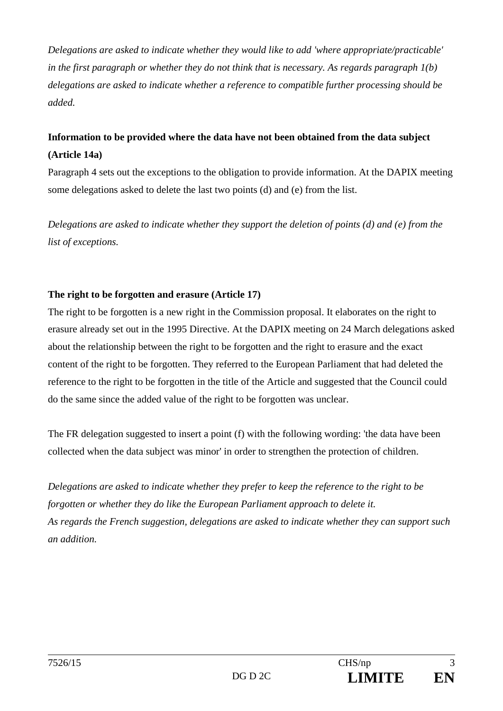*Delegations are asked to indicate whether they would like to add 'where appropriate/practicable' in the first paragraph or whether they do not think that is necessary. As regards paragraph 1(b) delegations are asked to indicate whether a reference to compatible further processing should be added.* 

# **Information to be provided where the data have not been obtained from the data subject (Article 14a)**

Paragraph 4 sets out the exceptions to the obligation to provide information. At the DAPIX meeting some delegations asked to delete the last two points (d) and (e) from the list.

*Delegations are asked to indicate whether they support the deletion of points (d) and (e) from the list of exceptions.* 

#### **The right to be forgotten and erasure (Article 17)**

The right to be forgotten is a new right in the Commission proposal. It elaborates on the right to erasure already set out in the 1995 Directive. At the DAPIX meeting on 24 March delegations asked about the relationship between the right to be forgotten and the right to erasure and the exact content of the right to be forgotten. They referred to the European Parliament that had deleted the reference to the right to be forgotten in the title of the Article and suggested that the Council could do the same since the added value of the right to be forgotten was unclear.

The FR delegation suggested to insert a point (f) with the following wording: 'the data have been collected when the data subject was minor' in order to strengthen the protection of children.

*Delegations are asked to indicate whether they prefer to keep the reference to the right to be forgotten or whether they do like the European Parliament approach to delete it. As regards the French suggestion, delegations are asked to indicate whether they can support such an addition.*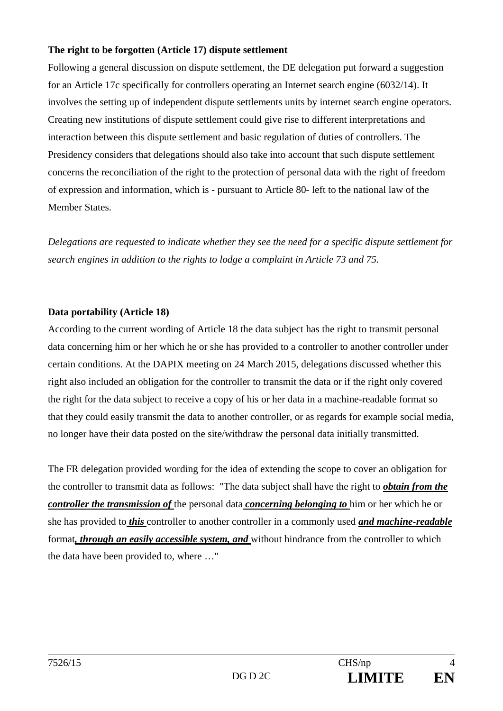#### **The right to be forgotten (Article 17) dispute settlement**

Following a general discussion on dispute settlement, the DE delegation put forward a suggestion for an Article 17c specifically for controllers operating an Internet search engine (6032/14). It involves the setting up of independent dispute settlements units by internet search engine operators. Creating new institutions of dispute settlement could give rise to different interpretations and interaction between this dispute settlement and basic regulation of duties of controllers. The Presidency considers that delegations should also take into account that such dispute settlement concerns the reconciliation of the right to the protection of personal data with the right of freedom of expression and information, which is - pursuant to Article 80- left to the national law of the Member States.

*Delegations are requested to indicate whether they see the need for a specific dispute settlement for search engines in addition to the rights to lodge a complaint in Article 73 and 75.* 

#### **Data portability (Article 18)**

According to the current wording of Article 18 the data subject has the right to transmit personal data concerning him or her which he or she has provided to a controller to another controller under certain conditions. At the DAPIX meeting on 24 March 2015, delegations discussed whether this right also included an obligation for the controller to transmit the data or if the right only covered the right for the data subject to receive a copy of his or her data in a machine-readable format so that they could easily transmit the data to another controller, or as regards for example social media, no longer have their data posted on the site/withdraw the personal data initially transmitted.

The FR delegation provided wording for the idea of extending the scope to cover an obligation for the controller to transmit data as follows: "The data subject shall have the right to *obtain from the controller the transmission of* the personal data *concerning belonging to* him or her which he or she has provided to *this* controller to another controller in a commonly used *and machine-readable* format*, through an easily accessible system, and* without hindrance from the controller to which the data have been provided to, where …"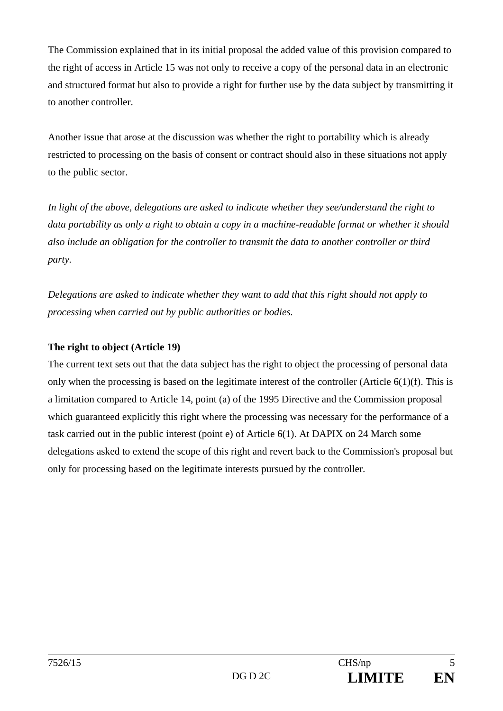The Commission explained that in its initial proposal the added value of this provision compared to the right of access in Article 15 was not only to receive a copy of the personal data in an electronic and structured format but also to provide a right for further use by the data subject by transmitting it to another controller.

Another issue that arose at the discussion was whether the right to portability which is already restricted to processing on the basis of consent or contract should also in these situations not apply to the public sector.

*In light of the above, delegations are asked to indicate whether they see/understand the right to data portability as only a right to obtain a copy in a machine-readable format or whether it should also include an obligation for the controller to transmit the data to another controller or third party.* 

*Delegations are asked to indicate whether they want to add that this right should not apply to processing when carried out by public authorities or bodies.* 

#### **The right to object (Article 19)**

The current text sets out that the data subject has the right to object the processing of personal data only when the processing is based on the legitimate interest of the controller (Article 6(1)(f). This is a limitation compared to Article 14, point (a) of the 1995 Directive and the Commission proposal which guaranteed explicitly this right where the processing was necessary for the performance of a task carried out in the public interest (point e) of Article 6(1). At DAPIX on 24 March some delegations asked to extend the scope of this right and revert back to the Commission's proposal but only for processing based on the legitimate interests pursued by the controller.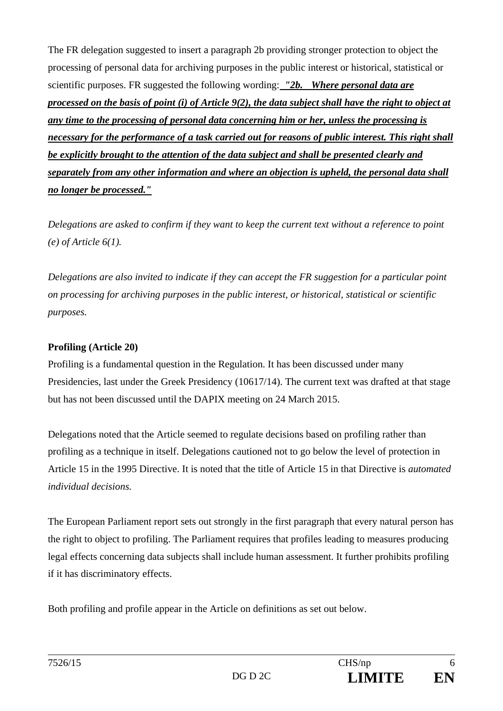The FR delegation suggested to insert a paragraph 2b providing stronger protection to object the processing of personal data for archiving purposes in the public interest or historical, statistical or scientific purposes. FR suggested the following wording: *"2b. Where personal data are processed on the basis of point (i) of Article 9(2), the data subject shall have the right to object at any time to the processing of personal data concerning him or her, unless the processing is necessary for the performance of a task carried out for reasons of public interest. This right shall be explicitly brought to the attention of the data subject and shall be presented clearly and separately from any other information and where an objection is upheld, the personal data shall no longer be processed."* 

*Delegations are asked to confirm if they want to keep the current text without a reference to point (e) of Article 6(1).* 

*Delegations are also invited to indicate if they can accept the FR suggestion for a particular point on processing for archiving purposes in the public interest, or historical, statistical or scientific purposes.* 

#### **Profiling (Article 20)**

Profiling is a fundamental question in the Regulation. It has been discussed under many Presidencies, last under the Greek Presidency (10617/14). The current text was drafted at that stage but has not been discussed until the DAPIX meeting on 24 March 2015.

Delegations noted that the Article seemed to regulate decisions based on profiling rather than profiling as a technique in itself. Delegations cautioned not to go below the level of protection in Article 15 in the 1995 Directive. It is noted that the title of Article 15 in that Directive is *automated individual decisions.* 

The European Parliament report sets out strongly in the first paragraph that every natural person has the right to object to profiling. The Parliament requires that profiles leading to measures producing legal effects concerning data subjects shall include human assessment. It further prohibits profiling if it has discriminatory effects.

Both profiling and profile appear in the Article on definitions as set out below.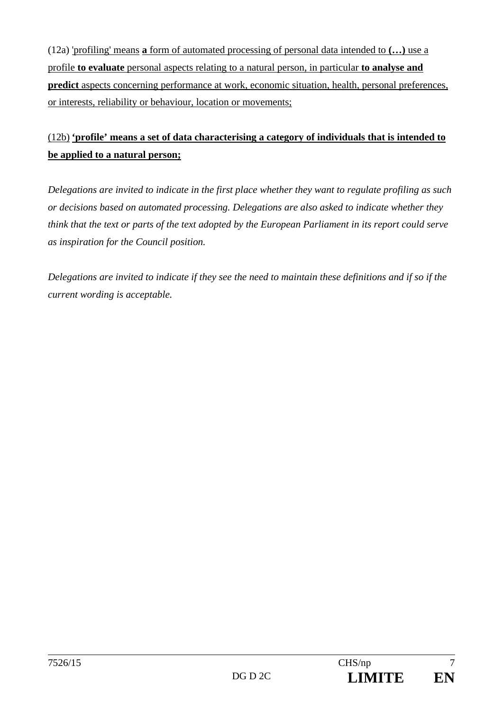(12a) 'profiling' means **a** form of automated processing of personal data intended to **(…)** use a profile **to evaluate** personal aspects relating to a natural person, in particular **to analyse and predict** aspects concerning performance at work, economic situation, health, personal preferences, or interests, reliability or behaviour, location or movements;

# (12b) **'profile' means a set of data characterising a category of individuals that is intended to be applied to a natural person;**

*Delegations are invited to indicate in the first place whether they want to regulate profiling as such or decisions based on automated processing. Delegations are also asked to indicate whether they think that the text or parts of the text adopted by the European Parliament in its report could serve as inspiration for the Council position.* 

*Delegations are invited to indicate if they see the need to maintain these definitions and if so if the current wording is acceptable.*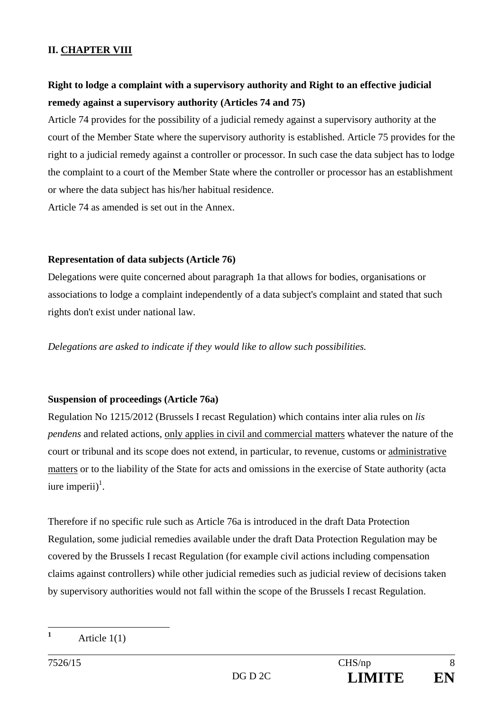#### **II. CHAPTER VIII**

## **Right to lodge a complaint with a supervisory authority and Right to an effective judicial remedy against a supervisory authority (Articles 74 and 75)**

Article 74 provides for the possibility of a judicial remedy against a supervisory authority at the court of the Member State where the supervisory authority is established. Article 75 provides for the right to a judicial remedy against a controller or processor. In such case the data subject has to lodge the complaint to a court of the Member State where the controller or processor has an establishment or where the data subject has his/her habitual residence.

Article 74 as amended is set out in the Annex.

#### **Representation of data subjects (Article 76)**

Delegations were quite concerned about paragraph 1a that allows for bodies, organisations or associations to lodge a complaint independently of a data subject's complaint and stated that such rights don't exist under national law.

*Delegations are asked to indicate if they would like to allow such possibilities.* 

#### **Suspension of proceedings (Article 76a)**

Regulation No 1215/2012 (Brussels I recast Regulation) which contains inter alia rules on *lis pendens* and related actions, only applies in civil and commercial matters whatever the nature of the court or tribunal and its scope does not extend, in particular, to revenue, customs or administrative matters or to the liability of the State for acts and omissions in the exercise of State authority (acta iure imperii $)^{1}$ .

Therefore if no specific rule such as Article 76a is introduced in the draft Data Protection Regulation, some judicial remedies available under the draft Data Protection Regulation may be covered by the Brussels I recast Regulation (for example civil actions including compensation claims against controllers) while other judicial remedies such as judicial review of decisions taken by supervisory authorities would not fall within the scope of the Brussels I recast Regulation.

**1**

Article 1(1)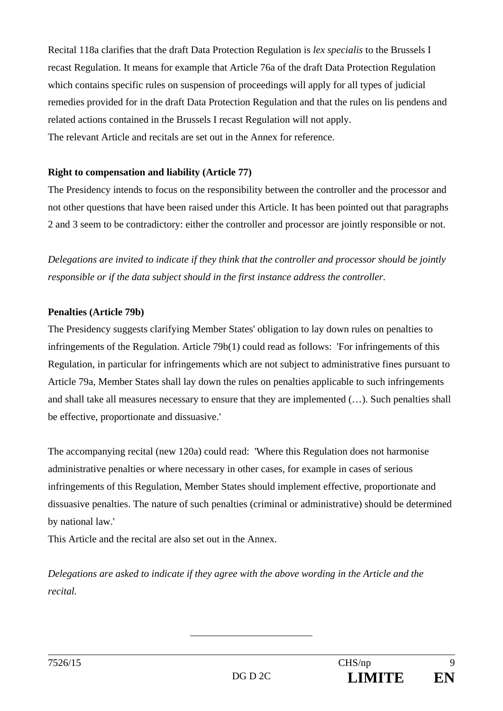Recital 118a clarifies that the draft Data Protection Regulation is *lex specialis* to the Brussels I recast Regulation. It means for example that Article 76a of the draft Data Protection Regulation which contains specific rules on suspension of proceedings will apply for all types of judicial remedies provided for in the draft Data Protection Regulation and that the rules on lis pendens and related actions contained in the Brussels I recast Regulation will not apply. The relevant Article and recitals are set out in the Annex for reference.

#### **Right to compensation and liability (Article 77)**

The Presidency intends to focus on the responsibility between the controller and the processor and not other questions that have been raised under this Article. It has been pointed out that paragraphs 2 and 3 seem to be contradictory: either the controller and processor are jointly responsible or not.

*Delegations are invited to indicate if they think that the controller and processor should be jointly responsible or if the data subject should in the first instance address the controller.* 

#### **Penalties (Article 79b)**

The Presidency suggests clarifying Member States' obligation to lay down rules on penalties to infringements of the Regulation. Article 79b(1) could read as follows: 'For infringements of this Regulation, in particular for infringements which are not subject to administrative fines pursuant to Article 79a, Member States shall lay down the rules on penalties applicable to such infringements and shall take all measures necessary to ensure that they are implemented (…). Such penalties shall be effective, proportionate and dissuasive.'

The accompanying recital (new 120a) could read: 'Where this Regulation does not harmonise administrative penalties or where necessary in other cases, for example in cases of serious infringements of this Regulation, Member States should implement effective, proportionate and dissuasive penalties. The nature of such penalties (criminal or administrative) should be determined by national law.'

This Article and the recital are also set out in the Annex.

*Delegations are asked to indicate if they agree with the above wording in the Article and the recital.*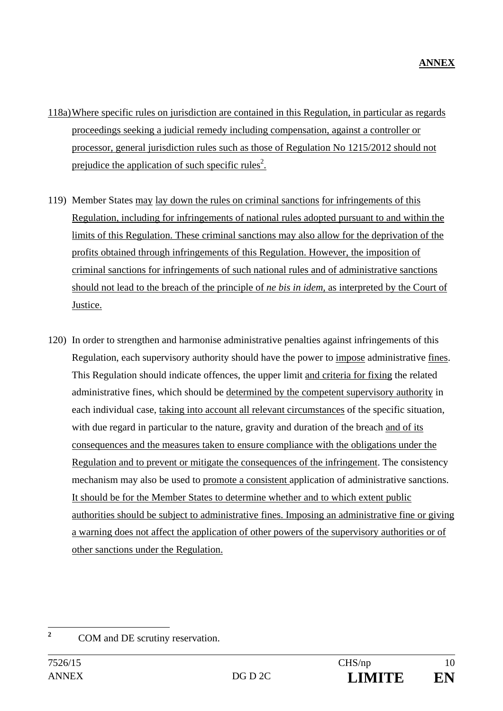- 118a) Where specific rules on jurisdiction are contained in this Regulation, in particular as regards proceedings seeking a judicial remedy including compensation, against a controller or processor, general jurisdiction rules such as those of Regulation No 1215/2012 should not prejudice the application of such specific rules<sup>2</sup>.
- 119) Member States may lay down the rules on criminal sanctions for infringements of this Regulation, including for infringements of national rules adopted pursuant to and within the limits of this Regulation. These criminal sanctions may also allow for the deprivation of the profits obtained through infringements of this Regulation. However, the imposition of criminal sanctions for infringements of such national rules and of administrative sanctions should not lead to the breach of the principle of *ne bis in idem,* as interpreted by the Court of Justice.
- 120) In order to strengthen and harmonise administrative penalties against infringements of this Regulation, each supervisory authority should have the power to impose administrative fines. This Regulation should indicate offences, the upper limit and criteria for fixing the related administrative fines, which should be determined by the competent supervisory authority in each individual case, taking into account all relevant circumstances of the specific situation, with due regard in particular to the nature, gravity and duration of the breach and of its consequences and the measures taken to ensure compliance with the obligations under the Regulation and to prevent or mitigate the consequences of the infringement. The consistency mechanism may also be used to promote a consistent application of administrative sanctions. It should be for the Member States to determine whether and to which extent public authorities should be subject to administrative fines. Imposing an administrative fine or giving a warning does not affect the application of other powers of the supervisory authorities or of other sanctions under the Regulation.

**2**

COM and DE scrutiny reservation.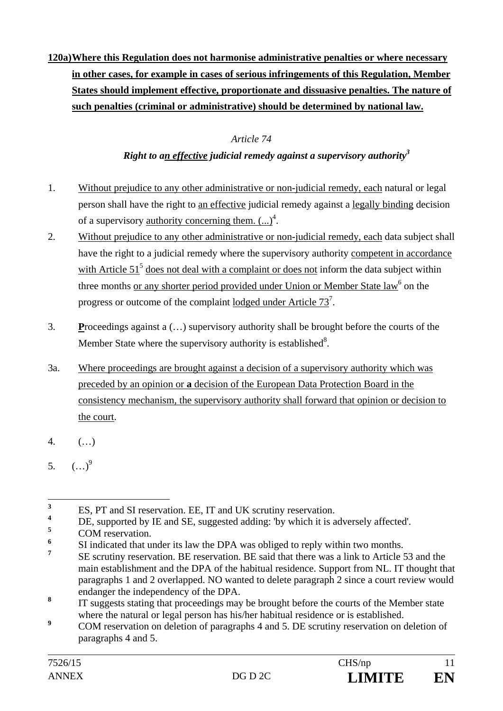**120a) Where this Regulation does not harmonise administrative penalties or where necessary in other cases, for example in cases of serious infringements of this Regulation, Member States should implement effective, proportionate and dissuasive penalties. The nature of such penalties (criminal or administrative) should be determined by national law.** 

### *Article 74*

### *Right to an effective judicial remedy against a supervisory authority3*

- 1. Without prejudice to any other administrative or non-judicial remedy, each natural or legal person shall have the right to an effective judicial remedy against a legally binding decision of a supervisory <u>authority concerning them.</u>  $(...)^4$ .
- 2. Without prejudice to any other administrative or non-judicial remedy, each data subject shall have the right to a judicial remedy where the supervisory authority competent in accordance with Article  $51<sup>5</sup>$  does not deal with a complaint or does not inform the data subject within three months <u>or any shorter period provided under Union or Member State law<sup>6</sup> on the</u> progress or outcome of the complaint <u>lodged under Article  $73^7$ </u>.
- 3. **P**roceedings against a (…) supervisory authority shall be brought before the courts of the Member State where the supervisory authority is established $8$ .
- 3a. Where proceedings are brought against a decision of a supervisory authority which was preceded by an opinion or **a** decision of the European Data Protection Board in the consistency mechanism, the supervisory authority shall forward that opinion or decision to the court.
- 4. (…)
- 5.  $(\ldots)^9$

 **3** ES, PT and SI reservation. EE, IT and UK scrutiny reservation.

**<sup>4</sup>** DE, supported by IE and SE, suggested adding: 'by which it is adversely affected'.

**<sup>5</sup>** COM reservation.

**<sup>6</sup>** SI indicated that under its law the DPA was obliged to reply within two months.

**<sup>7</sup>** SE scrutiny reservation. BE reservation. BE said that there was a link to Article 53 and the main establishment and the DPA of the habitual residence. Support from NL. IT thought that paragraphs 1 and 2 overlapped. NO wanted to delete paragraph 2 since a court review would endanger the independency of the DPA.

**<sup>8</sup>** IT suggests stating that proceedings may be brought before the courts of the Member state where the natural or legal person has his/her habitual residence or is established.

**<sup>9</sup>** COM reservation on deletion of paragraphs 4 and 5. DE scrutiny reservation on deletion of paragraphs 4 and 5.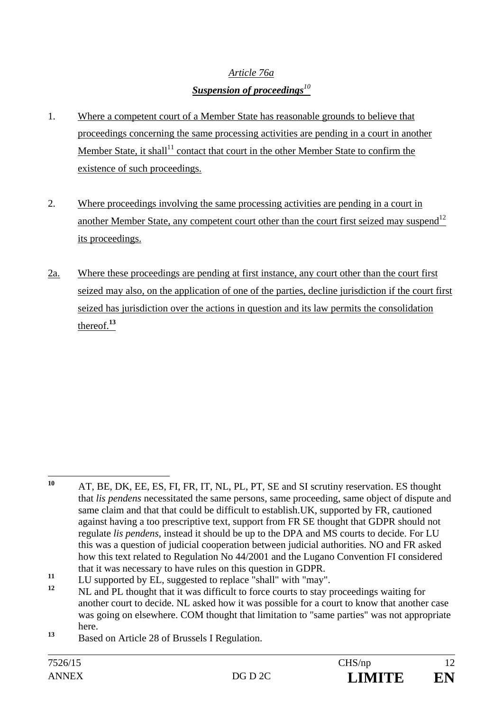## *Article 76a Suspension of proceedings<sup>10</sup>*

- 1. Where a competent court of a Member State has reasonable grounds to believe that proceedings concerning the same processing activities are pending in a court in another Member State, it shall<sup>11</sup> contact that court in the other Member State to confirm the existence of such proceedings.
- 2. Where proceedings involving the same processing activities are pending in a court in another Member State, any competent court other than the court first seized may suspend<sup>12</sup> its proceedings.
- 2a. Where these proceedings are pending at first instance, any court other than the court first seized may also, on the application of one of the parties, decline jurisdiction if the court first seized has jurisdiction over the actions in question and its law permits the consolidation thereof.**<sup>13</sup>**

 $10$ **<sup>10</sup>** AT, BE, DK, EE, ES, FI, FR, IT, NL, PL, PT, SE and SI scrutiny reservation. ES thought that *lis pendens* necessitated the same persons, same proceeding, same object of dispute and same claim and that that could be difficult to establish.UK, supported by FR, cautioned against having a too prescriptive text, support from FR SE thought that GDPR should not regulate *lis pendens*, instead it should be up to the DPA and MS courts to decide. For LU this was a question of judicial cooperation between judicial authorities. NO and FR asked how this text related to Regulation No 44/2001 and the Lugano Convention FI considered that it was necessary to have rules on this question in GDPR.

<sup>11</sup> LU supported by EL, suggested to replace "shall" with "may".

**<sup>12</sup>** NL and PL thought that it was difficult to force courts to stay proceedings waiting for another court to decide. NL asked how it was possible for a court to know that another case was going on elsewhere. COM thought that limitation to "same parties" was not appropriate here.

**<sup>13</sup>** Based on Article 28 of Brussels I Regulation.